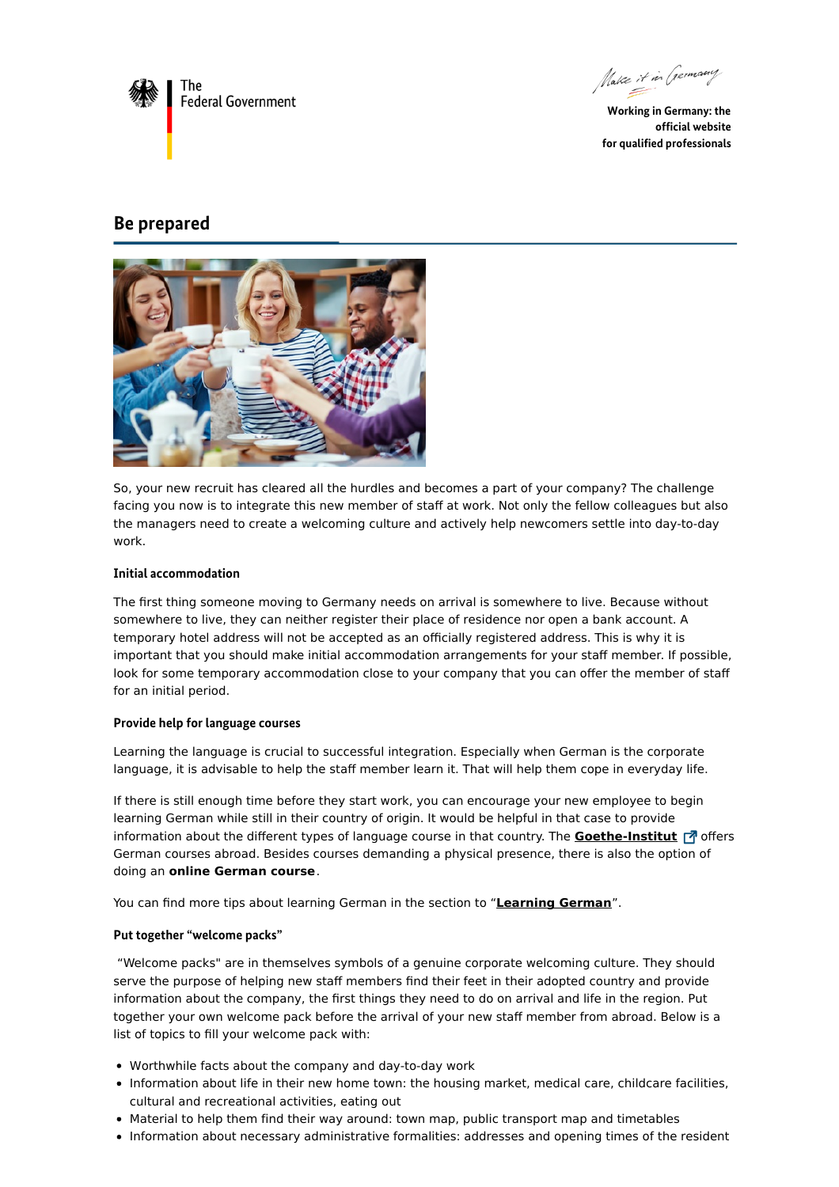

Make it in Germany

**Working in Germany: the official website for qualified professionals**

# **Be prepared**



So, your new recruit has cleared all the hurdles and becomes a part of your company? The challenge facing you now is to integrate this new member of staff at work. Not only the fellow colleagues but also the managers need to create a welcoming culture and actively help newcomers settle into day-to-day work.

## **Initial accommodation**

The first thing someone moving to Germany needs on arrival is somewhere to live. Because without somewhere to live, they can neither register their place of residence nor open a bank account. A temporary hotel address will not be accepted as an officially registered address. This is why it is important that you should make initial accommodation arrangements for your staff member. If possible, look for some temporary accommodation close to your company that you can offer the member of staff for an initial period.

## **Provide help for language courses**

Learning the language is crucial to successful integration. Especially when German is the corporate language, it is advisable to help the staff member learn it. That will help them cope in everyday life.

If there is still enough time before they start work, you can encourage your new employee to begin learning German while still in their country of origin. It would be helpful in that case to provide information about the different types of language course in that country. The **[Goethe-Institut](https://www.goethe.de/en/wwt.html)** 7 offers German courses abroad. Besides courses demanding a physical presence, there is also the option of doing an **online German course**.

You can find more tips about learning German in the section to "**[Learning](https://www.make-it-in-germany.com/en/living-in-germany/german/) German**".

#### **Put together "welcome packs"**

"Welcome packs" are in themselves symbols of a genuine corporate welcoming culture. They should serve the purpose of helping new staff members find their feet in their adopted country and provide information about the company, the first things they need to do on arrival and life in the region. Put together your own welcome pack before the arrival of your new staff member from abroad. Below is a list of topics to fill your welcome pack with:

- Worthwhile facts about the company and day-to-day work
- Information about life in their new home town: the housing market, medical care, childcare facilities, cultural and recreational activities, eating out
- Material to help them find their way around: town map, public transport map and timetables
- Information about necessary administrative formalities: addresses and opening times of the resident